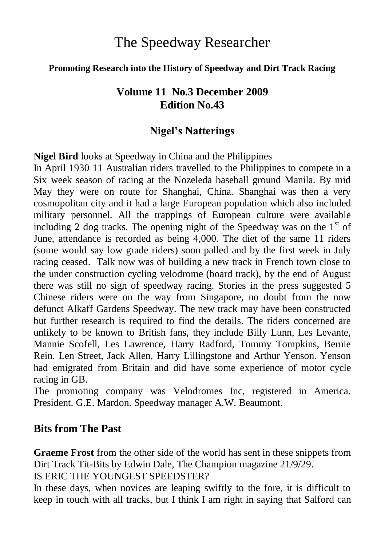# The Speedway Researcher

#### **Promoting Research into the History of Speedway and Dirt Track Racing**

# **Volume 11 No.3 December 2009 Edition No.43**

# **Nigel's Natterings**

**Nigel Bird** looks at Speedway in China and the Philippines

In April 1930 11 Australian riders travelled to the Philippines to compete in a Six week season of racing at the Nozeleda baseball ground Manila. By mid May they were on route for Shanghai, China. Shanghai was then a very cosmopolitan city and it had a large European population which also included military personnel. All the trappings of European culture were available including 2 dog tracks. The opening night of the Speedway was on the  $1<sup>st</sup>$  of June, attendance is recorded as being 4,000. The diet of the same 11 riders (some would say low grade riders) soon palled and by the first week in July racing ceased. Talk now was of building a new track in French town close to the under construction cycling velodrome (board track), by the end of August there was still no sign of speedway racing. Stories in the press suggested 5 Chinese riders were on the way from Singapore, no doubt from the now defunct Alkaff Gardens Speedway. The new track may have been constructed but further research is required to find the details. The riders concerned are unlikely to be known to British fans, they include Billy Lunn, Les Levante, Mannie Scofell, Les Lawrence, Harry Radford, Tommy Tompkins, Bernie Rein. Len Street, Jack Allen, Harry Lillingstone and Arthur Yenson. Yenson had emigrated from Britain and did have some experience of motor cycle racing in GB.

The promoting company was Velodromes Inc, registered in America. President. G.E. Mardon. Speedway manager A.W. Beaumont.

## **Bits from The Past**

**Graeme Frost** from the other side of the world has sent in these snippets from Dirt Track Tit-Bits by Edwin Dale, The Champion magazine 21/9/29. IS ERIC THE YOUNGEST SPEEDSTER?

In these days, when novices are leaping swiftly to the fore, it is difficult to keep in touch with all tracks, but I think I am right in saying that Salford can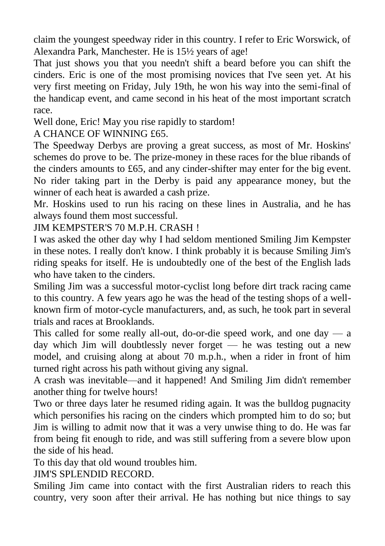claim the youngest speedway rider in this country. I refer to Eric Worswick, of Alexandra Park, Manchester. He is 15½ years of age!

That just shows you that you needn't shift a beard before you can shift the cinders. Eric is one of the most promising novices that I've seen yet. At his very first meeting on Friday, July 19th, he won his way into the semi-final of the handicap event, and came second in his heat of the most important scratch race.

Well done, Eric! May you rise rapidly to stardom!

A CHANCE OF WINNING £65.

The Speedway Derbys are proving a great success, as most of Mr. Hoskins' schemes do prove to be. The prize-money in these races for the blue ribands of the cinders amounts to £65, and any cinder-shifter may enter for the big event. No rider taking part in the Derby is paid any appearance money, but the winner of each heat is awarded a cash prize.

Mr. Hoskins used to run his racing on these lines in Australia, and he has always found them most successful.

JIM KEMPSTER'S 70 M.P.H. CRASH !

I was asked the other day why I had seldom mentioned Smiling Jim Kempster in these notes. I really don't know. I think probably it is because Smiling Jim's riding speaks for itself. He is undoubtedly one of the best of the English lads who have taken to the cinders.

Smiling Jim was a successful motor-cyclist long before dirt track racing came to this country. A few years ago he was the head of the testing shops of a wellknown firm of motor-cycle manufacturers, and, as such, he took part in several trials and races at Brooklands.

This called for some really all-out, do-or-die speed work, and one day  $-$  a day which Jim will doubtlessly never forget — he was testing out a new model, and cruising along at about 70 m.p.h., when a rider in front of him turned right across his path without giving any signal.

A crash was inevitable—and it happened! And Smiling Jim didn't remember another thing for twelve hours!

Two or three days later he resumed riding again. It was the bulldog pugnacity which personifies his racing on the cinders which prompted him to do so; but Jim is willing to admit now that it was a very unwise thing to do. He was far from being fit enough to ride, and was still suffering from a severe blow upon the side of his head.

To this day that old wound troubles him.

JIM'S SPLENDID RECORD.

Smiling Jim came into contact with the first Australian riders to reach this country, very soon after their arrival. He has nothing but nice things to say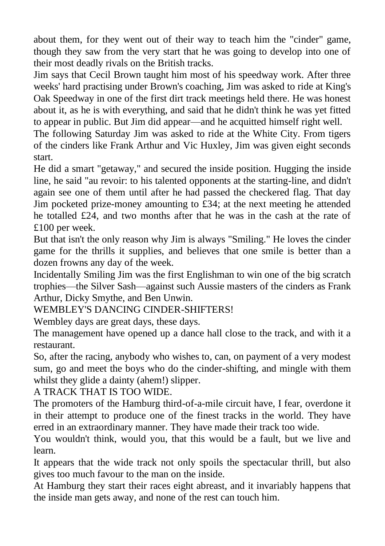about them, for they went out of their way to teach him the "cinder" game, though they saw from the very start that he was going to develop into one of their most deadly rivals on the British tracks.

Jim says that Cecil Brown taught him most of his speedway work. After three weeks' hard practising under Brown's coaching, Jim was asked to ride at King's Oak Speedway in one of the first dirt track meetings held there. He was honest about it, as he is with everything, and said that he didn't think he was yet fitted to appear in public. But Jim did appear—and he acquitted himself right well.

The following Saturday Jim was asked to ride at the White City. From tigers of the cinders like Frank Arthur and Vic Huxley, Jim was given eight seconds start.

He did a smart "getaway," and secured the inside position. Hugging the inside line, he said "au revoir: to his talented opponents at the starting-line, and didn't again see one of them until after he had passed the checkered flag. That day Jim pocketed prize-money amounting to  $£34$ ; at the next meeting he attended he totalled £24, and two months after that he was in the cash at the rate of £100 per week.

But that isn't the only reason why Jim is always "Smiling." He loves the cinder game for the thrills it supplies, and believes that one smile is better than a dozen frowns any day of the week.

Incidentally Smiling Jim was the first Englishman to win one of the big scratch trophies—the Silver Sash—against such Aussie masters of the cinders as Frank Arthur, Dicky Smythe, and Ben Unwin.

WEMBLEY'S DANCING CINDER-SHIFTERS!

Wembley days are great days, these days.

The management have opened up a dance hall close to the track, and with it a restaurant.

So, after the racing, anybody who wishes to, can, on payment of a very modest sum, go and meet the boys who do the cinder-shifting, and mingle with them whilst they glide a dainty (ahem!) slipper.

A TRACK THAT IS TOO WIDE.

The promoters of the Hamburg third-of-a-mile circuit have, I fear, overdone it in their attempt to produce one of the finest tracks in the world. They have erred in an extraordinary manner. They have made their track too wide.

You wouldn't think, would you, that this would be a fault, but we live and learn.

It appears that the wide track not only spoils the spectacular thrill, but also gives too much favour to the man on the inside.

At Hamburg they start their races eight abreast, and it invariably happens that the inside man gets away, and none of the rest can touch him.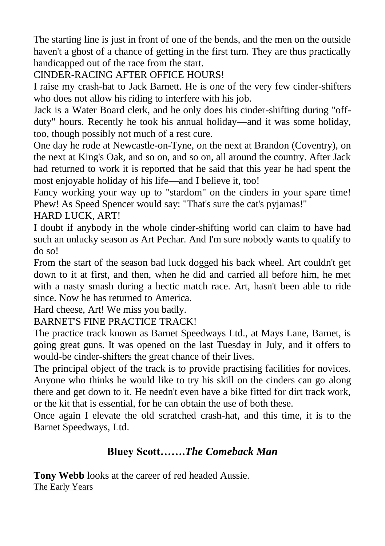The starting line is just in front of one of the bends, and the men on the outside haven't a ghost of a chance of getting in the first turn. They are thus practically handicapped out of the race from the start.

CINDER-RACING AFTER OFFICE HOURS!

I raise my crash-hat to Jack Barnett. He is one of the very few cinder-shifters who does not allow his riding to interfere with his job.

Jack is a Water Board clerk, and he only does his cinder-shifting during "offduty" hours. Recently he took his annual holiday—and it was some holiday, too, though possibly not much of a rest cure.

One day he rode at Newcastle-on-Tyne, on the next at Brandon (Coventry), on the next at King's Oak, and so on, and so on, all around the country. After Jack had returned to work it is reported that he said that this year he had spent the most enjoyable holiday of his life—and I believe it, too!

Fancy working your way up to "stardom" on the cinders in your spare time! Phew! As Speed Spencer would say: "That's sure the cat's pyjamas!"

### HARD LUCK, ART!

I doubt if anybody in the whole cinder-shifting world can claim to have had such an unlucky season as Art Pechar. And I'm sure nobody wants to qualify to do so!

From the start of the season bad luck dogged his back wheel. Art couldn't get down to it at first, and then, when he did and carried all before him, he met with a nasty smash during a hectic match race. Art, hasn't been able to ride since. Now he has returned to America.

Hard cheese, Art! We miss you badly.

BARNET'S FINE PRACTICE TRACK!

The practice track known as Barnet Speedways Ltd., at Mays Lane, Barnet, is going great guns. It was opened on the last Tuesday in July, and it offers to would-be cinder-shifters the great chance of their lives.

The principal object of the track is to provide practising facilities for novices. Anyone who thinks he would like to try his skill on the cinders can go along there and get down to it. He needn't even have a bike fitted for dirt track work, or the kit that is essential, for he can obtain the use of both these.

Once again I elevate the old scratched crash-hat, and this time, it is to the Barnet Speedways, Ltd.

# **Bluey Scott…….***The Comeback Man*

**Tony Webb** looks at the career of red headed Aussie. The Early Years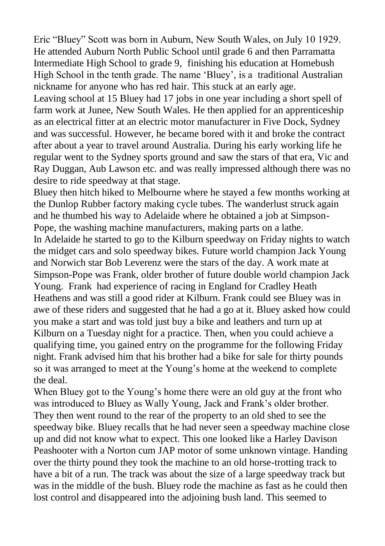Eric "Bluey" Scott was born in Auburn, New South Wales, on July 10 1929. He attended Auburn North Public School until grade 6 and then Parramatta Intermediate High School to grade 9, finishing his education at Homebush High School in the tenth grade. The name 'Bluey', is a traditional Australian nickname for anyone who has red hair. This stuck at an early age.

Leaving school at 15 Bluey had 17 jobs in one year including a short spell of farm work at Junee, New South Wales. He then applied for an apprenticeship as an electrical fitter at an electric motor manufacturer in Five Dock, Sydney and was successful. However, he became bored with it and broke the contract after about a year to travel around Australia. During his early working life he regular went to the Sydney sports ground and saw the stars of that era, Vic and Ray Duggan, Aub Lawson etc. and was really impressed although there was no desire to ride speedway at that stage.

Bluey then hitch hiked to Melbourne where he stayed a few months working at the Dunlop Rubber factory making cycle tubes. The wanderlust struck again and he thumbed his way to Adelaide where he obtained a job at Simpson-Pope, the washing machine manufacturers, making parts on a lathe. In Adelaide he started to go to the Kilburn speedway on Friday nights to watch the midget cars and solo speedway bikes. Future world champion Jack Young and Norwich star Bob Leverenz were the stars of the day. A work mate at Simpson-Pope was Frank, older brother of future double world champion Jack Young. Frank had experience of racing in England for Cradley Heath Heathens and was still a good rider at Kilburn. Frank could see Bluey was in awe of these riders and suggested that he had a go at it. Bluey asked how could you make a start and was told just buy a bike and leathers and turn up at Kilburn on a Tuesday night for a practice. Then, when you could achieve a qualifying time, you gained entry on the programme for the following Friday night. Frank advised him that his brother had a bike for sale for thirty pounds so it was arranged to meet at the Young's home at the weekend to complete the deal.

When Bluey got to the Young's home there were an old guy at the front who was introduced to Bluey as Wally Young, Jack and Frank's older brother. They then went round to the rear of the property to an old shed to see the speedway bike. Bluey recalls that he had never seen a speedway machine close up and did not know what to expect. This one looked like a Harley Davison Peashooter with a Norton cum JAP motor of some unknown vintage. Handing over the thirty pound they took the machine to an old horse-trotting track to have a bit of a run. The track was about the size of a large speedway track but was in the middle of the bush. Bluey rode the machine as fast as he could then lost control and disappeared into the adjoining bush land. This seemed to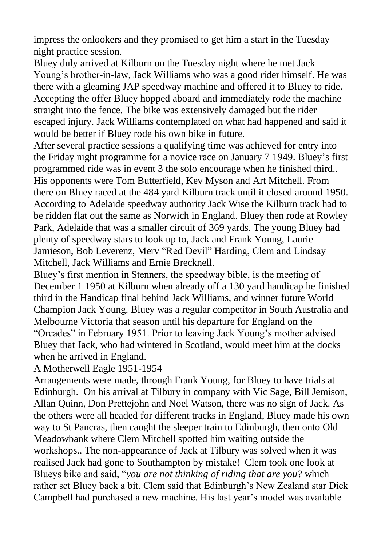impress the onlookers and they promised to get him a start in the Tuesday night practice session.

Bluey duly arrived at Kilburn on the Tuesday night where he met Jack Young's brother-in-law, Jack Williams who was a good rider himself. He was there with a gleaming JAP speedway machine and offered it to Bluey to ride. Accepting the offer Bluey hopped aboard and immediately rode the machine straight into the fence. The bike was extensively damaged but the rider escaped injury. Jack Williams contemplated on what had happened and said it would be better if Bluey rode his own bike in future.

After several practice sessions a qualifying time was achieved for entry into the Friday night programme for a novice race on January 7 1949. Bluey's first programmed ride was in event 3 the solo encourage when he finished third.. His opponents were Tom Butterfield, Kev Myson and Art Mitchell. From there on Bluey raced at the 484 yard Kilburn track until it closed around 1950. According to Adelaide speedway authority Jack Wise the Kilburn track had to be ridden flat out the same as Norwich in England. Bluey then rode at Rowley Park, Adelaide that was a smaller circuit of 369 yards. The young Bluey had plenty of speedway stars to look up to, Jack and Frank Young, Laurie Jamieson, Bob Leverenz, Merv "Red Devil" Harding, Clem and Lindsay Mitchell, Jack Williams and Ernie Brecknell.

Bluey's first mention in Stenners, the speedway bible, is the meeting of December 1 1950 at Kilburn when already off a 130 yard handicap he finished third in the Handicap final behind Jack Williams, and winner future World Champion Jack Young. Bluey was a regular competitor in South Australia and Melbourne Victoria that season until his departure for England on the ―Orcades‖ in February 1951. Prior to leaving Jack Young's mother advised Bluey that Jack, who had wintered in Scotland, would meet him at the docks when he arrived in England.

#### A Motherwell Eagle 1951-1954

Arrangements were made, through Frank Young, for Bluey to have trials at Edinburgh. On his arrival at Tilbury in company with Vic Sage, Bill Jemison, Allan Quinn, Don Prettejohn and Noel Watson, there was no sign of Jack. As the others were all headed for different tracks in England, Bluey made his own way to St Pancras, then caught the sleeper train to Edinburgh, then onto Old Meadowbank where Clem Mitchell spotted him waiting outside the workshops.. The non-appearance of Jack at Tilbury was solved when it was realised Jack had gone to Southampton by mistake! Clem took one look at Blueys bike and said, "*you are not thinking of riding that are you*? which rather set Bluey back a bit. Clem said that Edinburgh's New Zealand star Dick Campbell had purchased a new machine. His last year's model was available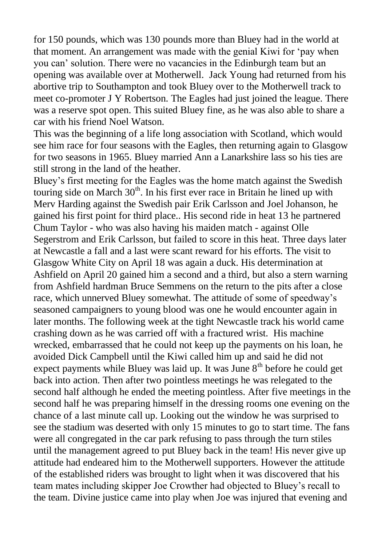for 150 pounds, which was 130 pounds more than Bluey had in the world at that moment. An arrangement was made with the genial Kiwi for 'pay when you can' solution. There were no vacancies in the Edinburgh team but an opening was available over at Motherwell. Jack Young had returned from his abortive trip to Southampton and took Bluey over to the Motherwell track to meet co-promoter J Y Robertson. The Eagles had just joined the league. There was a reserve spot open. This suited Bluey fine, as he was also able to share a car with his friend Noel Watson.

This was the beginning of a life long association with Scotland, which would see him race for four seasons with the Eagles, then returning again to Glasgow for two seasons in 1965. Bluey married Ann a Lanarkshire lass so his ties are still strong in the land of the heather.

Bluey's first meeting for the Eagles was the home match against the Swedish touring side on March  $30<sup>th</sup>$ . In his first ever race in Britain he lined up with Merv Harding against the Swedish pair Erik Carlsson and Joel Johanson, he gained his first point for third place.. His second ride in heat 13 he partnered Chum Taylor - who was also having his maiden match - against Olle Segerstrom and Erik Carlsson, but failed to score in this heat. Three days later at Newcastle a fall and a last were scant reward for his efforts. The visit to Glasgow White City on April 18 was again a duck. His determination at Ashfield on April 20 gained him a second and a third, but also a stern warning from Ashfield hardman Bruce Semmens on the return to the pits after a close race, which unnerved Bluey somewhat. The attitude of some of speedway's seasoned campaigners to young blood was one he would encounter again in later months. The following week at the tight Newcastle track his world came crashing down as he was carried off with a fractured wrist. His machine wrecked, embarrassed that he could not keep up the payments on his loan, he avoided Dick Campbell until the Kiwi called him up and said he did not expect payments while Bluey was laid up. It was June  $8<sup>th</sup>$  before he could get back into action. Then after two pointless meetings he was relegated to the second half although he ended the meeting pointless. After five meetings in the second half he was preparing himself in the dressing rooms one evening on the chance of a last minute call up. Looking out the window he was surprised to see the stadium was deserted with only 15 minutes to go to start time. The fans were all congregated in the car park refusing to pass through the turn stiles until the management agreed to put Bluey back in the team! His never give up attitude had endeared him to the Motherwell supporters. However the attitude of the established riders was brought to light when it was discovered that his team mates including skipper Joe Crowther had objected to Bluey's recall to the team. Divine justice came into play when Joe was injured that evening and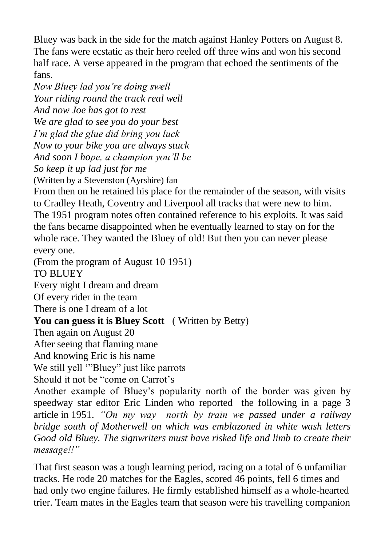Bluey was back in the side for the match against Hanley Potters on August 8. The fans were ecstatic as their hero reeled off three wins and won his second half race. A verse appeared in the program that echoed the sentiments of the fans.

*Now Bluey lad you're doing swell Your riding round the track real well And now Joe has got to rest We are glad to see you do your best I'm glad the glue did bring you luck Now to your bike you are always stuck And soon I hope, a champion you'll be So keep it up lad just for me*

(Written by a Stevenston (Ayrshire) fan

From then on he retained his place for the remainder of the season, with visits to Cradley Heath, Coventry and Liverpool all tracks that were new to him. The 1951 program notes often contained reference to his exploits. It was said the fans became disappointed when he eventually learned to stay on for the whole race. They wanted the Bluey of old! But then you can never please every one.

(From the program of August 10 1951)

TO BLUEY

Every night I dream and dream

Of every rider in the team

There is one I dream of a lot

**You can guess it is Bluey Scott** ( Written by Betty)

Then again on August 20

After seeing that flaming mane

And knowing Eric is his name

We still yell "Bluey" just like parrots

Should it not be "come on Carrot's

Another example of Bluey's popularity north of the border was given by speedway star editor Eric Linden who reported the following in a page 3 article in 1951. *"On my way north by train we passed under a railway bridge south of Motherwell on which was emblazoned in white wash letters Good old Bluey. The signwriters must have risked life and limb to create their message!!"*

That first season was a tough learning period, racing on a total of 6 unfamiliar tracks. He rode 20 matches for the Eagles, scored 46 points, fell 6 times and had only two engine failures. He firmly established himself as a whole-hearted trier. Team mates in the Eagles team that season were his travelling companion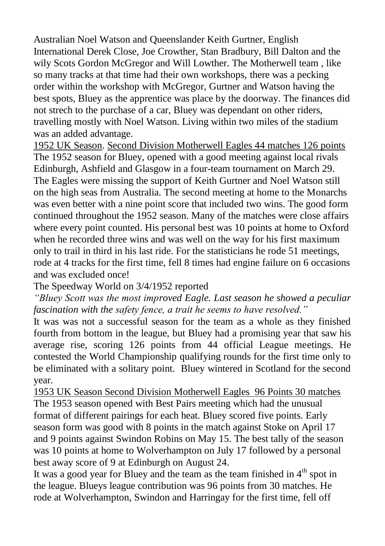Australian Noel Watson and Queenslander Keith Gurtner, English International Derek Close, Joe Crowther, Stan Bradbury, Bill Dalton and the wily Scots Gordon McGregor and Will Lowther. The Motherwell team , like so many tracks at that time had their own workshops, there was a pecking order within the workshop with McGregor, Gurtner and Watson having the best spots, Bluey as the apprentice was place by the doorway. The finances did not strech to the purchase of a car, Bluey was dependant on other riders, travelling mostly with Noel Watson. Living within two miles of the stadium was an added advantage.

1952 UK Season. Second Division Motherwell Eagles 44 matches 126 points The 1952 season for Bluey, opened with a good meeting against local rivals Edinburgh, Ashfield and Glasgow in a four-team tournament on March 29. The Eagles were missing the support of Keith Gurtner and Noel Watson still on the high seas from Australia. The second meeting at home to the Monarchs was even better with a nine point score that included two wins. The good form continued throughout the 1952 season. Many of the matches were close affairs where every point counted. His personal best was 10 points at home to Oxford when he recorded three wins and was well on the way for his first maximum only to trail in third in his last ride. For the statisticians he rode 51 meetings, rode at 4 tracks for the first time, fell 8 times had engine failure on 6 occasions and was excluded once!

The Speedway World on 3/4/1952 reported

*"Bluey Scott was the most improved Eagle. Last season he showed a peculiar fascination with the safety fence, a trait he seems to have resolved."*

It was was not a successful season for the team as a whole as they finished fourth from bottom in the league, but Bluey had a promising year that saw his average rise, scoring 126 points from 44 official League meetings. He contested the World Championship qualifying rounds for the first time only to be eliminated with a solitary point. Bluey wintered in Scotland for the second year.

1953 UK Season Second Division Motherwell Eagles 96 Points 30 matches The 1953 season opened with Best Pairs meeting which had the unusual format of different pairings for each heat. Bluey scored five points. Early season form was good with 8 points in the match against Stoke on April 17 and 9 points against Swindon Robins on May 15. The best tally of the season was 10 points at home to Wolverhampton on July 17 followed by a personal best away score of 9 at Edinburgh on August 24.

It was a good year for Bluey and the team as the team finished in  $4<sup>th</sup>$  spot in the league. Blueys league contribution was 96 points from 30 matches. He rode at Wolverhampton, Swindon and Harringay for the first time, fell off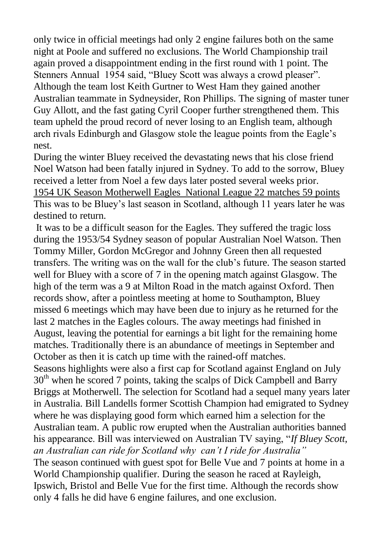only twice in official meetings had only 2 engine failures both on the same night at Poole and suffered no exclusions. The World Championship trail again proved a disappointment ending in the first round with 1 point. The Stenners Annual 1954 said, "Bluey Scott was always a crowd pleaser". Although the team lost Keith Gurtner to West Ham they gained another Australian teammate in Sydneysider, Ron Phillips. The signing of master tuner Guy Allott, and the fast gating Cyril Cooper further strengthened them. This team upheld the proud record of never losing to an English team, although arch rivals Edinburgh and Glasgow stole the league points from the Eagle's nest.

During the winter Bluey received the devastating news that his close friend Noel Watson had been fatally injured in Sydney. To add to the sorrow, Bluey received a letter from Noel a few days later posted several weeks prior. 1954 UK Season Motherwell Eagles National League 22 matches 59 points This was to be Bluey's last season in Scotland, although 11 years later he was destined to return.

It was to be a difficult season for the Eagles. They suffered the tragic loss during the 1953/54 Sydney season of popular Australian Noel Watson. Then Tommy Miller, Gordon McGregor and Johnny Green then all requested transfers. The writing was on the wall for the club's future. The season started well for Bluey with a score of 7 in the opening match against Glasgow. The high of the term was a 9 at Milton Road in the match against Oxford. Then records show, after a pointless meeting at home to Southampton, Bluey missed 6 meetings which may have been due to injury as he returned for the last 2 matches in the Eagles colours. The away meetings had finished in August, leaving the potential for earnings a bit light for the remaining home matches. Traditionally there is an abundance of meetings in September and October as then it is catch up time with the rained-off matches. Seasons highlights were also a first cap for Scotland against England on July 30<sup>th</sup> when he scored 7 points, taking the scalps of Dick Campbell and Barry Briggs at Motherwell. The selection for Scotland had a sequel many years later in Australia. Bill Landells former Scottish Champion had emigrated to Sydney where he was displaying good form which earned him a selection for the Australian team. A public row erupted when the Australian authorities banned his appearance. Bill was interviewed on Australian TV saying, "*If Bluey Scott*, *an Australian can ride for Scotland why can't I ride for Australia"* The season continued with guest spot for Belle Vue and 7 points at home in a World Championship qualifier. During the season he raced at Rayleigh, Ipswich, Bristol and Belle Vue for the first time. Although the records show only 4 falls he did have 6 engine failures, and one exclusion.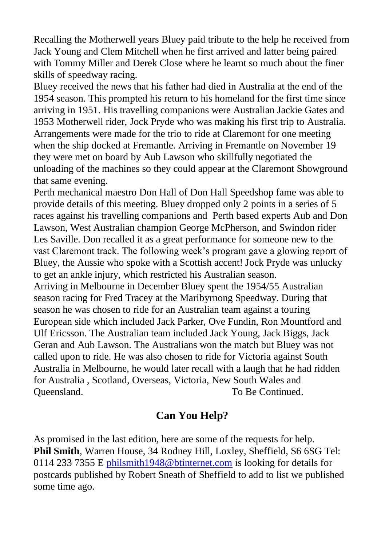Recalling the Motherwell years Bluey paid tribute to the help he received from Jack Young and Clem Mitchell when he first arrived and latter being paired with Tommy Miller and Derek Close where he learnt so much about the finer skills of speedway racing.

Bluey received the news that his father had died in Australia at the end of the 1954 season. This prompted his return to his homeland for the first time since arriving in 1951. His travelling companions were Australian Jackie Gates and 1953 Motherwell rider, Jock Pryde who was making his first trip to Australia. Arrangements were made for the trio to ride at Claremont for one meeting when the ship docked at Fremantle. Arriving in Fremantle on November 19 they were met on board by Aub Lawson who skillfully negotiated the unloading of the machines so they could appear at the Claremont Showground that same evening.

Perth mechanical maestro Don Hall of Don Hall Speedshop fame was able to provide details of this meeting. Bluey dropped only 2 points in a series of 5 races against his travelling companions and Perth based experts Aub and Don Lawson, West Australian champion George McPherson, and Swindon rider Les Saville. Don recalled it as a great performance for someone new to the vast Claremont track. The following week's program gave a glowing report of Bluey, the Aussie who spoke with a Scottish accent! Jock Pryde was unlucky to get an ankle injury, which restricted his Australian season.

Arriving in Melbourne in December Bluey spent the 1954/55 Australian season racing for Fred Tracey at the Maribyrnong Speedway. During that season he was chosen to ride for an Australian team against a touring European side which included Jack Parker, Ove Fundin, Ron Mountford and Ulf Ericsson. The Australian team included Jack Young, Jack Biggs, Jack Geran and Aub Lawson. The Australians won the match but Bluey was not called upon to ride. He was also chosen to ride for Victoria against South Australia in Melbourne, he would later recall with a laugh that he had ridden for Australia , Scotland, Overseas, Victoria, New South Wales and Queensland. To Be Continued.

## **Can You Help?**

As promised in the last edition, here are some of the requests for help. **Phil Smith**, Warren House, 34 Rodney Hill, Loxley, Sheffield, S6 6SG Tel: 0114 233 7355 E [philsmith1948@btinternet.com](mailto:philsmith1948@btinternet.com) is looking for details for postcards published by Robert Sneath of Sheffield to add to list we published some time ago.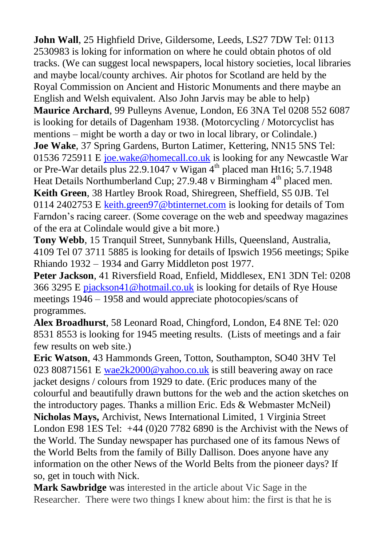**John Wall**, 25 Highfield Drive, Gildersome, Leeds, LS27 7DW Tel: 0113 2530983 is loking for information on where he could obtain photos of old tracks. (We can suggest local newspapers, local history societies, local libraries and maybe local/county archives. Air photos for Scotland are held by the Royal Commission on Ancient and Historic Monuments and there maybe an English and Welsh equivalent. Also John Jarvis may be able to help) **Maurice Archard**, 99 Pulleyns Avenue, London, E6 3NA Tel 0208 552 6087 is looking for details of Dagenham 1938. (Motorcycling / Motorcyclist has mentions – might be worth a day or two in local library, or Colindale.) **Joe Wake**, 37 Spring Gardens, Burton Latimer, Kettering, NN15 5NS Tel: 01536 725911 E [joe.wake@homecall.co.uk](mailto:joe.wake@homecall.co.uk) is looking for any Newcastle War or Pre-War details plus 22.9.1047 v Wigan  $4<sup>th</sup>$  placed man Ht16; 5.7.1948 Heat Details Northumberland Cup; 27.9.48 v Birmingham 4<sup>th</sup> placed men. **Keith Green**, 38 Hartley Brook Road, Shiregreen, Sheffield, S5 0JB. Tel 0114 2402753 E [keith.green97@btinternet.com](mailto:keith.green97@btinternet.com) is looking for details of Tom Farndon's racing career. (Some coverage on the web and speedway magazines of the era at Colindale would give a bit more.)

**Tony Webb**, 15 Tranquil Street, Sunnybank Hills, Queensland, Australia, 4109 Tel 07 3711 5885 is looking for details of Ipswich 1956 meetings; Spike Rhiando 1932 – 1934 and Garry Middleton post 1977.

**Peter Jackson**, 41 Riversfield Road, Enfield, Middlesex, EN1 3DN Tel: 0208 366 3295 E [pjackson41@hotmail.co.uk](mailto:pjackson41@hotmail.co.uk) is looking for details of Rye House meetings 1946 – 1958 and would appreciate photocopies/scans of programmes.

**Alex Broadhurst**, 58 Leonard Road, Chingford, London, E4 8NE Tel: 020 8531 8553 is looking for 1945 meeting results. (Lists of meetings and a fair few results on web site.)

**Eric Watson**, 43 Hammonds Green, Totton, Southampton, SO40 3HV Tel 023 80871561 E [wae2k2000@yahoo.co.uk](mailto:wae2k2000@yahoo.co.uk) is still beavering away on race jacket designs / colours from 1929 to date. (Eric produces many of the colourful and beautifully drawn buttons for the web and the action sketches on the introductory pages. Thanks a million Eric. Eds & Webmaster McNeil) **Nicholas Mays,** Archivist, News International Limited, 1 Virginia Street London E98 1ES Tel:  $+44$  (0)20 7782 6890 is the Archivist with the News of the World. The Sunday newspaper has purchased one of its famous News of the World Belts from the family of Billy Dallison. Does anyone have any information on the other News of the World Belts from the pioneer days? If so, get in touch with Nick.

**Mark Sawbridge** was interested in the article about Vic Sage in the Researcher. There were two things I knew about him: the first is that he is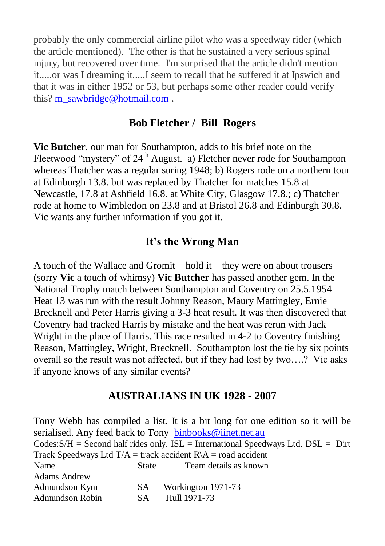probably the only commercial airline pilot who was a speedway rider (which the article mentioned). The other is that he sustained a very serious spinal injury, but recovered over time. I'm surprised that the article didn't mention it.....or was I dreaming it.....I seem to recall that he suffered it at Ipswich and that it was in either 1952 or 53, but perhaps some other reader could verify this? [m\\_sawbridge@hotmail.com](mailto:m_sawbridge@hotmail.com) .

## **Bob Fletcher / Bill Rogers**

**Vic Butcher**, our man for Southampton, adds to his brief note on the Fleetwood "mystery" of 24<sup>th</sup> August. a) Fletcher never rode for Southampton whereas Thatcher was a regular suring 1948; b) Rogers rode on a northern tour at Edinburgh 13.8. but was replaced by Thatcher for matches 15.8 at Newcastle, 17.8 at Ashfield 16.8. at White City, Glasgow 17.8.; c) Thatcher rode at home to Wimbledon on 23.8 and at Bristol 26.8 and Edinburgh 30.8. Vic wants any further information if you got it.

## **It's the Wrong Man**

A touch of the Wallace and Gromit – hold it – they were on about trousers (sorry **Vic** a touch of whimsy) **Vic Butcher** has passed another gem. In the National Trophy match between Southampton and Coventry on 25.5.1954 Heat 13 was run with the result Johnny Reason, Maury Mattingley, Ernie Brecknell and Peter Harris giving a 3-3 heat result. It was then discovered that Coventry had tracked Harris by mistake and the heat was rerun with Jack Wright in the place of Harris. This race resulted in 4-2 to Coventry finishing Reason, Mattingley, Wright, Brecknell. Southampton lost the tie by six points overall so the result was not affected, but if they had lost by two….? Vic asks if anyone knows of any similar events?

#### **AUSTRALIANS IN UK 1928 - 2007**

Tony Webb has compiled a list. It is a bit long for one edition so it will be serialised. Any feed back to Tony [binbooks@iinet.net.au](mailto:binbooks@iinet.net.au) Codes: $S/H$  = Second half rides only. ISL = International Speedways Ltd. DSL = Dirt Track Speedways Ltd  $T/A =$  track accident  $R\A =$  road accident Name State Team details as known Adams Andrew Admundson Kym SA Workington 1971-73 Admundson Robin SA Hull 1971-73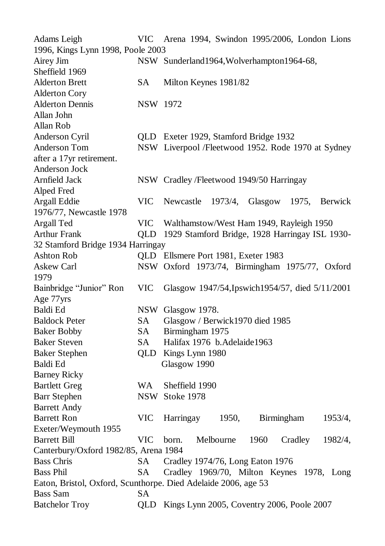Adams Leigh VIC Arena 1994, Swindon 1995/2006, London Lions 1996, Kings Lynn 1998, Poole 2003 Airey Jim NSW Sunderland 1964, Wolverhampton 1964-68, Sheffield 1969 Alderton Brett SA Milton Keynes 1981/82 Alderton Cory Alderton Dennis NSW 1972 Allan John Allan Rob Anderson Cyril QLD Exeter 1929, Stamford Bridge 1932 Anderson Tom NSW Liverpool /Fleetwood 1952. Rode 1970 at Sydney after a 17yr retirement. Anderson Jock Arnfield Jack NSW Cradley /Fleetwood 1949/50 Harringay Alped Fred Argall Eddie VIC Newcastle 1973/4, Glasgow 1975, Berwick 1976/77, Newcastle 1978 Argall Ted VIC Walthamstow/West Ham 1949, Rayleigh 1950 Arthur Frank QLD 1929 Stamford Bridge, 1928 Harringay ISL 1930- 32 Stamford Bridge 1934 Harringay Ashton Rob QLD Ellsmere Port 1981, Exeter 1983 Askew Carl NSW Oxford 1973/74, Birmingham 1975/77, Oxford 1979 Bainbridge "Junior" Ron VIC Glasgow 1947/54, Ipswich 1954/57, died 5/11/2001 Age 77yrs Baldi Ed NSW Glasgow 1978. Baldock Peter SA Glasgow / Berwick1970 died 1985 Baker Bobby SA Birmingham 1975 Baker Steven SA Halifax 1976 b. Adelaide 1963 Baker Stephen **QLD** Kings Lynn 1980 Baldi Ed Glasgow 1990 Barney Ricky Bartlett Greg WA Sheffield 1990 Barr Stephen NSW Stoke 1978 Barrett Andy Barrett Ron VIC Harringay 1950, Birmingham 1953/4, Exeter/Weymouth 1955 Barrett Bill VIC born. Melbourne 1960 Cradley 1982/4, Canterbury/Oxford 1982/85, Arena 1984 Bass Chris SA Cradley 1974/76, Long Eaton 1976 Bass Phil SA Cradley 1969/70, Milton Keynes 1978, Long Eaton, Bristol, Oxford, Scunthorpe. Died Adelaide 2006, age 53 Bass Sam SA Batchelor Troy QLD Kings Lynn 2005, Coventry 2006, Poole 2007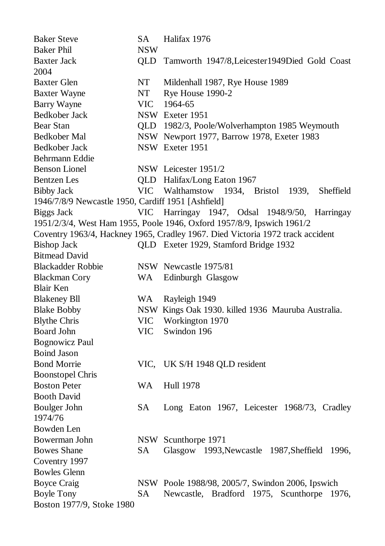Baker Steve SA Halifax 1976 Baker Phil NSW Baxter Jack QLD Tamworth 1947/8,Leicester1949Died Gold Coast 2004 Baxter Glen NT Mildenhall 1987, Rye House 1989 Baxter Wayne NT Rye House 1990-2 Barry Wayne VIC 1964-65 Bedkober Jack NSW Exeter 1951 Bear Stan **COLD** 1982/3, Poole/Wolverhampton 1985 Weymouth Bedkober Mal NSW Newport 1977, Barrow 1978, Exeter 1983 Bedkober Jack NSW Exeter 1951 Behrmann Eddie Benson Lionel NSW Leicester 1951/2 Bentzen Les **OLD** Halifax/Long Eaton 1967 Bibby Jack VIC Walthamstow 1934, Bristol 1939, Sheffield 1946/7/8/9 Newcastle 1950, Cardiff 1951 [Ashfield] Biggs Jack VIC Harringay 1947, Odsal 1948/9/50, Harringay 1951/2/3/4, West Ham 1955, Poole 1946, Oxford 1957/8/9, Ipswich 1961/2 Coventry 1963/4, Hackney 1965, Cradley 1967. Died Victoria 1972 track accident Bishop Jack **OLD** Exeter 1929, Stamford Bridge 1932 Bitmead David Blackadder Robbie NSW Newcastle 1975/81 Blackman Cory WA Edinburgh Glasgow Blair Ken Blakeney Bll WA Rayleigh 1949 Blake Bobby NSW Kings Oak 1930. killed 1936 Mauruba Australia. Blythe Chris VIC Workington 1970 Board John VIC Swindon 196 Bognowicz Paul Boind Jason Bond Morrie VIC, UK S/H 1948 QLD resident Boonstopel Chris Boston Peter WA Hull 1978 Booth David Boulger John SA Long Eaton 1967, Leicester 1968/73, Cradley 1974/76 Bowden Len Bowerman John NSW Scunthorpe 1971 Bowes Shane SA Glasgow 1993,Newcastle 1987,Sheffield 1996, Coventry 1997 Bowles Glenn Boyce Craig NSW Poole 1988/98, 2005/7, Swindon 2006, Ipswich Boyle Tony SA Newcastle, Bradford 1975, Scunthorpe 1976, Boston 1977/9, Stoke 1980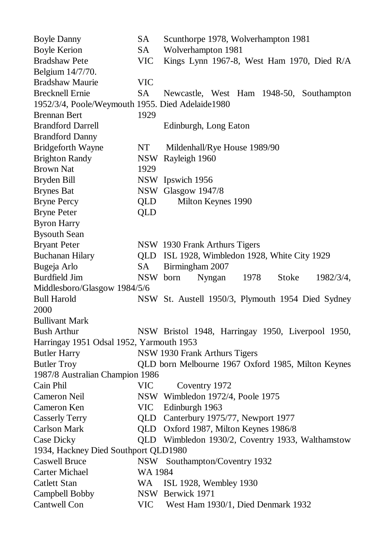Boyle Danny SA Scunthorpe 1978, Wolverhampton 1981 Boyle Kerion SA Wolverhampton 1981 Bradshaw Pete VIC Kings Lynn 1967-8, West Ham 1970, Died R/A Belgium 14/7/70. Bradshaw Maurie VIC Brecknell Ernie SA Newcastle, West Ham 1948-50, Southampton 1952/3/4, Poole/Weymouth 1955. Died Adelaide1980 Brennan Bert 1929 Brandford Darrell Edinburgh, Long Eaton Brandford Danny Bridgeforth Wayne NT Mildenhall/Rye House 1989/90 Brighton Randy NSW Rayleigh 1960 Brown Nat 1929 Bryden Bill NSW Ipswich 1956 Brynes Bat NSW Glasgow 1947/8 Bryne Percy QLD Milton Keynes 1990 Bryne Peter **QLD** Byron Harry Bysouth Sean Bryant Peter NSW 1930 Frank Arthurs Tigers Buchanan Hilary QLD ISL 1928, Wimbledon 1928, White City 1929 Bugeja Arlo SA Birmingham 2007 Burdfield Jim NSW born Nyngan 1978 Stoke 1982/3/4, Middlesboro/Glasgow 1984/5/6 Bull Harold NSW St. Austell 1950/3, Plymouth 1954 Died Sydney 2000 Bullivant Mark Bush Arthur NSW Bristol 1948, Harringay 1950, Liverpool 1950, Harringay 1951 Odsal 1952, Yarmouth 1953 Butler Harry NSW 1930 Frank Arthurs Tigers Butler Troy QLD born Melbourne 1967 Oxford 1985, Milton Keynes 1987/8 Australian Champion 1986 Cain Phil VIC Coventry 1972 Cameron Neil NSW Wimbledon 1972/4, Poole 1975 Cameron Ken VIC Edinburgh 1963 Casserly Terry QLD Canterbury 1975/77, Newport 1977 Carlson Mark QLD Oxford 1987, Milton Keynes 1986/8 Case Dicky QLD Wimbledon 1930/2, Coventry 1933, Walthamstow 1934, Hackney Died Southport QLD1980 Caswell Bruce NSW Southampton/Coventry 1932 Carter Michael WA 1984 Catlett Stan WA ISL 1928, Wembley 1930 Campbell Bobby NSW Berwick 1971 Cantwell Con VIC West Ham 1930/1, Died Denmark 1932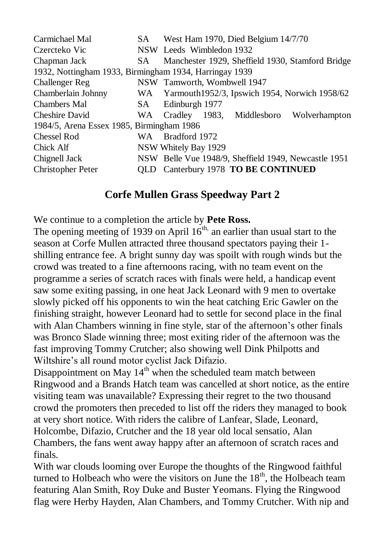| Carmichael Mal                                         | SA.                         | West Ham 1970, Died Belgium 14/7/70                  |  |  |  |  |  |  |  |  |  |
|--------------------------------------------------------|-----------------------------|------------------------------------------------------|--|--|--|--|--|--|--|--|--|
| Czercteko Vic                                          |                             | NSW Leeds Wimbledon 1932                             |  |  |  |  |  |  |  |  |  |
| Chapman Jack                                           | SA.                         | Manchester 1929, Sheffield 1930, Stamford Bridge     |  |  |  |  |  |  |  |  |  |
| 1932, Nottingham 1933, Birmingham 1934, Harringay 1939 |                             |                                                      |  |  |  |  |  |  |  |  |  |
| Challenger Reg                                         | NSW Tamworth, Wombwell 1947 |                                                      |  |  |  |  |  |  |  |  |  |
| Chamberlain Johnny                                     |                             | WA Yarmouth1952/3, Ipswich 1954, Norwich 1958/62     |  |  |  |  |  |  |  |  |  |
| Chambers Mal                                           | SA.                         | Edinburgh 1977                                       |  |  |  |  |  |  |  |  |  |
| Cheshire David                                         | WA.                         | Cradley 1983, Middlesboro Wolverhampton              |  |  |  |  |  |  |  |  |  |
| 1984/5, Arena Essex 1985, Birmingham 1986              |                             |                                                      |  |  |  |  |  |  |  |  |  |
| Chessel Rod                                            | WA.                         | Bradford 1972                                        |  |  |  |  |  |  |  |  |  |
| Chick Alf                                              |                             | NSW Whitely Bay 1929                                 |  |  |  |  |  |  |  |  |  |
| Chignell Jack                                          |                             | NSW Belle Vue 1948/9, Sheffield 1949, Newcastle 1951 |  |  |  |  |  |  |  |  |  |
| Christopher Peter                                      | OL D-                       | Canterbury 1978 TO BE CONTINUED                      |  |  |  |  |  |  |  |  |  |
|                                                        |                             |                                                      |  |  |  |  |  |  |  |  |  |

# **Corfe Mullen Grass Speedway Part 2**

We continue to a completion the article by **Pete Ross.**

The opening meeting of 1939 on April  $16<sup>th</sup>$ , an earlier than usual start to the season at Corfe Mullen attracted three thousand spectators paying their 1 shilling entrance fee. A bright sunny day was spoilt with rough winds but the crowd was treated to a fine afternoons racing, with no team event on the programme a series of scratch races with finals were held, a handicap event saw some exiting passing, in one heat Jack Leonard with 9 men to overtake slowly picked off his opponents to win the heat catching Eric Gawler on the finishing straight, however Leonard had to settle for second place in the final with Alan Chambers winning in fine style, star of the afternoon's other finals was Bronco Slade winning three; most exiting rider of the afternoon was the fast improving Tommy Crutcher; also showing well Dink Philpotts and Wiltshire's all round motor cyclist Jack Difazio.

Disappointment on May  $14<sup>th</sup>$  when the scheduled team match between Ringwood and a Brands Hatch team was cancelled at short notice, as the entire visiting team was unavailable? Expressing their regret to the two thousand crowd the promoters then preceded to list off the riders they managed to book at very short notice. With riders the calibre of Lanfear, Slade, Leonard, Holcombe, Difazio, Crutcher and the 18 year old local sensatio, Alan Chambers, the fans went away happy after an afternoon of scratch races and finals.

With war clouds looming over Europe the thoughts of the Ringwood faithful turned to Holbeach who were the visitors on June the  $18<sup>th</sup>$ , the Holbeach team featuring Alan Smith, Roy Duke and Buster Yeomans. Flying the Ringwood flag were Herby Hayden, Alan Chambers, and Tommy Crutcher. With nip and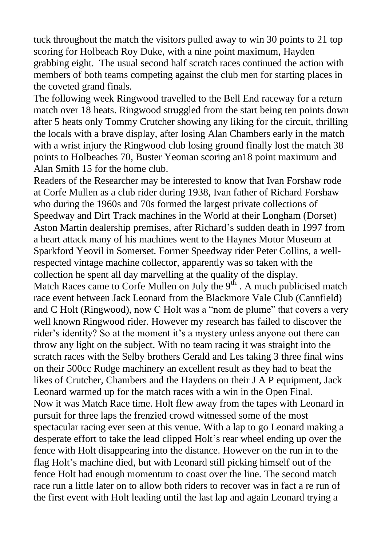tuck throughout the match the visitors pulled away to win 30 points to 21 top scoring for Holbeach Roy Duke, with a nine point maximum, Hayden grabbing eight. The usual second half scratch races continued the action with members of both teams competing against the club men for starting places in the coveted grand finals.

The following week Ringwood travelled to the Bell End raceway for a return match over 18 heats. Ringwood struggled from the start being ten points down after 5 heats only Tommy Crutcher showing any liking for the circuit, thrilling the locals with a brave display, after losing Alan Chambers early in the match with a wrist injury the Ringwood club losing ground finally lost the match 38 points to Holbeaches 70, Buster Yeoman scoring an18 point maximum and Alan Smith 15 for the home club.

Readers of the Researcher may be interested to know that Ivan Forshaw rode at Corfe Mullen as a club rider during 1938, Ivan father of Richard Forshaw who during the 1960s and 70s formed the largest private collections of Speedway and Dirt Track machines in the World at their Longham (Dorset) Aston Martin dealership premises, after Richard's sudden death in 1997 from a heart attack many of his machines went to the Haynes Motor Museum at Sparkford Yeovil in Somerset. Former Speedway rider Peter Collins, a wellrespected vintage machine collector, apparently was so taken with the collection he spent all day marvelling at the quality of the display. Match Races came to Corfe Mullen on July the  $9<sup>th</sup>$ . A much publicised match race event between Jack Leonard from the Blackmore Vale Club (Cannfield) and C Holt (Ringwood), now C Holt was a "nom de plume" that covers a very well known Ringwood rider. However my research has failed to discover the rider's identity? So at the moment it's a mystery unless anyone out there can throw any light on the subject. With no team racing it was straight into the scratch races with the Selby brothers Gerald and Les taking 3 three final wins on their 500cc Rudge machinery an excellent result as they had to beat the likes of Crutcher, Chambers and the Haydens on their J A P equipment, Jack Leonard warmed up for the match races with a win in the Open Final. Now it was Match Race time. Holt flew away from the tapes with Leonard in pursuit for three laps the frenzied crowd witnessed some of the most spectacular racing ever seen at this venue. With a lap to go Leonard making a desperate effort to take the lead clipped Holt's rear wheel ending up over the fence with Holt disappearing into the distance. However on the run in to the flag Holt's machine died, but with Leonard still picking himself out of the fence Holt had enough momentum to coast over the line. The second match race run a little later on to allow both riders to recover was in fact a re run of the first event with Holt leading until the last lap and again Leonard trying a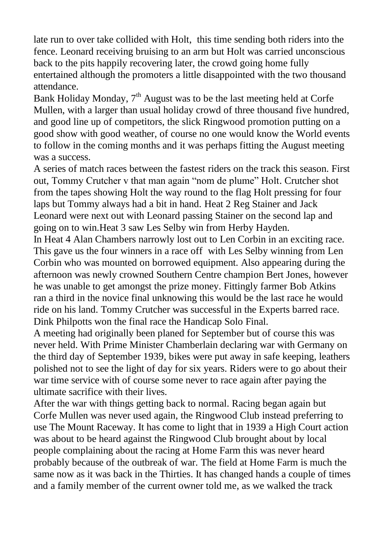late run to over take collided with Holt, this time sending both riders into the fence. Leonard receiving bruising to an arm but Holt was carried unconscious back to the pits happily recovering later, the crowd going home fully entertained although the promoters a little disappointed with the two thousand attendance.

Bank Holiday Monday,  $7<sup>th</sup>$  August was to be the last meeting held at Corfe Mullen, with a larger than usual holiday crowd of three thousand five hundred, and good line up of competitors, the slick Ringwood promotion putting on a good show with good weather, of course no one would know the World events to follow in the coming months and it was perhaps fitting the August meeting was a success.

A series of match races between the fastest riders on the track this season. First out, Tommy Crutcher y that man again "nom de plume" Holt. Crutcher shot from the tapes showing Holt the way round to the flag Holt pressing for four laps but Tommy always had a bit in hand. Heat 2 Reg Stainer and Jack Leonard were next out with Leonard passing Stainer on the second lap and going on to win.Heat 3 saw Les Selby win from Herby Hayden.

In Heat 4 Alan Chambers narrowly lost out to Len Corbin in an exciting race. This gave us the four winners in a race off with Les Selby winning from Len Corbin who was mounted on borrowed equipment. Also appearing during the afternoon was newly crowned Southern Centre champion Bert Jones, however he was unable to get amongst the prize money. Fittingly farmer Bob Atkins ran a third in the novice final unknowing this would be the last race he would ride on his land. Tommy Crutcher was successful in the Experts barred race. Dink Philpotts won the final race the Handicap Solo Final.

A meeting had originally been planed for September but of course this was never held. With Prime Minister Chamberlain declaring war with Germany on the third day of September 1939, bikes were put away in safe keeping, leathers polished not to see the light of day for six years. Riders were to go about their war time service with of course some never to race again after paying the ultimate sacrifice with their lives.

After the war with things getting back to normal. Racing began again but Corfe Mullen was never used again, the Ringwood Club instead preferring to use The Mount Raceway. It has come to light that in 1939 a High Court action was about to be heard against the Ringwood Club brought about by local people complaining about the racing at Home Farm this was never heard probably because of the outbreak of war. The field at Home Farm is much the same now as it was back in the Thirties. It has changed hands a couple of times and a family member of the current owner told me, as we walked the track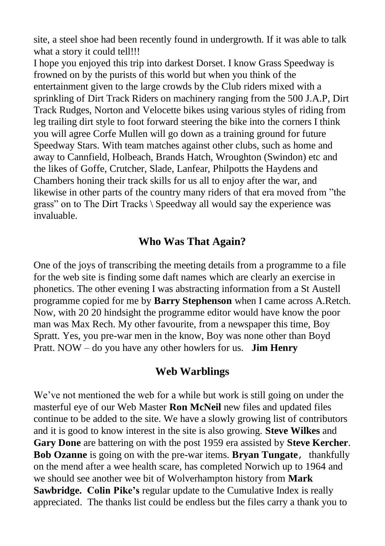site, a steel shoe had been recently found in undergrowth. If it was able to talk what a story it could tell!!!

I hope you enjoyed this trip into darkest Dorset. I know Grass Speedway is frowned on by the purists of this world but when you think of the entertainment given to the large crowds by the Club riders mixed with a sprinkling of Dirt Track Riders on machinery ranging from the 500 J.A.P, Dirt Track Rudges, Norton and Velocette bikes using various styles of riding from leg trailing dirt style to foot forward steering the bike into the corners I think you will agree Corfe Mullen will go down as a training ground for future Speedway Stars. With team matches against other clubs, such as home and away to Cannfield, Holbeach, Brands Hatch, Wroughton (Swindon) etc and the likes of Goffe, Crutcher, Slade, Lanfear, Philpotts the Haydens and Chambers honing their track skills for us all to enjoy after the war, and likewise in other parts of the country many riders of that era moved from "the grass" on to The Dirt Tracks  $\S$  Speedway all would say the experience was invaluable.

### **Who Was That Again?**

One of the joys of transcribing the meeting details from a programme to a file for the web site is finding some daft names which are clearly an exercise in phonetics. The other evening I was abstracting information from a St Austell programme copied for me by **Barry Stephenson** when I came across A.Retch. Now, with 20 20 hindsight the programme editor would have know the poor man was Max Rech. My other favourite, from a newspaper this time, Boy Spratt. Yes, you pre-war men in the know, Boy was none other than Boyd Pratt. NOW – do you have any other howlers for us. **Jim Henry**

#### **Web Warblings**

We've not mentioned the web for a while but work is still going on under the masterful eye of our Web Master **Ron McNeil** new files and updated files continue to be added to the site. We have a slowly growing list of contributors and it is good to know interest in the site is also growing. **Steve Wilkes** and **Gary Done** are battering on with the post 1959 era assisted by **Steve Kercher**. **Bob Ozanne** is going on with the pre-war items. **Bryan Tungate**, thankfully on the mend after a wee health scare, has completed Norwich up to 1964 and we should see another wee bit of Wolverhampton history from **Mark Sawbridge. Colin Pike's** regular update to the Cumulative Index is really appreciated. The thanks list could be endless but the files carry a thank you to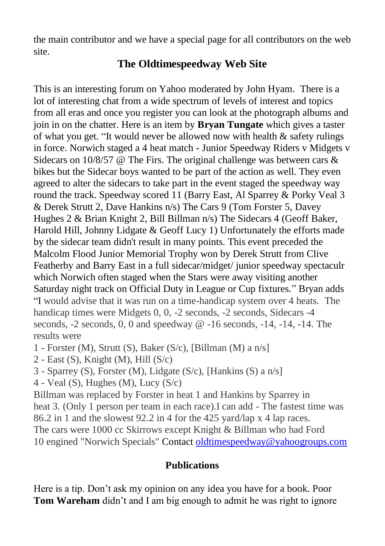the main contributor and we have a special page for all contributors on the web site.

## **The Oldtimespeedway Web Site**

This is an interesting forum on Yahoo moderated by John Hyam. There is a lot of interesting chat from a wide spectrum of levels of interest and topics from all eras and once you register you can look at the photograph albums and join in on the chatter. Here is an item by **Bryan Tungate** which gives a taster of what you get. "It would never be allowed now with health  $\&$  safety rulings in force. Norwich staged a 4 heat match - Junior Speedway Riders v Midgets v Sidecars on  $10/8/57$  @ The Firs. The original challenge was between cars & bikes but the Sidecar boys wanted to be part of the action as well. They even agreed to alter the sidecars to take part in the event staged the speedway way round the track. Speedway scored 11 (Barry East, Al Sparrey & Porky Veal 3 & Derek Strutt 2, Dave Hankins n/s) The Cars 9 (Tom Forster 5, Davey Hughes 2 & Brian Knight 2, Bill Billman n/s) The Sidecars 4 (Geoff Baker, Harold Hill, Johnny Lidgate & Geoff Lucy 1) Unfortunately the efforts made by the sidecar team didn't result in many points. This event preceded the Malcolm Flood Junior Memorial Trophy won by Derek Strutt from Clive Featherby and Barry East in a full sidecar/midget/ junior speedway spectaculr which Norwich often staged when the Stars were away visiting another Saturday night track on Official Duty in League or Cup fixtures." Bryan adds ―I would advise that it was run on a time-handicap system over 4 heats. The handicap times were Midgets 0, 0, -2 seconds, -2 seconds, Sidecars -4 seconds,  $-2$  seconds, 0, 0 and speedway  $\omega$   $-16$  seconds,  $-14$ ,  $-14$ ,  $-14$ . The results were

1 - Forster (M), Strutt (S), Baker (S/c), [Billman (M) a n/s]

- 2 East  $(S)$ , Knight  $(M)$ , Hill  $(S/c)$
- 3 Sparrey (S), Forster (M), Lidgate (S/c), [Hankins (S) a n/s]
- 4 Veal  $(S)$ , Hughes  $(M)$ , Lucy  $(S/c)$

Billman was replaced by Forster in heat 1 and Hankins by Sparrey in heat 3. (Only 1 person per team in each race).I can add - The fastest time was 86.2 in 1 and the slowest 92.2 in 4 for the 425 yard/lap x 4 lap races. The cars were 1000 cc Skirrows except Knight & Billman who had Ford 10 engined "Norwich Specials" Contact [oldtimespeedway@yahoogroups.com](mailto:oldtimespeedway@yahoogroups.com)

## **Publications**

Here is a tip. Don't ask my opinion on any idea you have for a book. Poor **Tom Wareham** didn't and I am big enough to admit he was right to ignore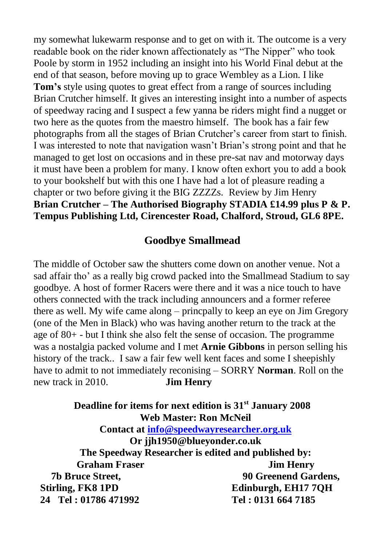my somewhat lukewarm response and to get on with it. The outcome is a very readable book on the rider known affectionately as "The Nipper" who took Poole by storm in 1952 including an insight into his World Final debut at the end of that season, before moving up to grace Wembley as a Lion. I like **Tom's** style using quotes to great effect from a range of sources including Brian Crutcher himself. It gives an interesting insight into a number of aspects of speedway racing and I suspect a few yanna be riders might find a nugget or two here as the quotes from the maestro himself. The book has a fair few photographs from all the stages of Brian Crutcher's career from start to finish. I was interested to note that navigation wasn't Brian's strong point and that he managed to get lost on occasions and in these pre-sat nav and motorway days it must have been a problem for many. I know often exhort you to add a book to your bookshelf but with this one I have had a lot of pleasure reading a chapter or two before giving it the BIG ZZZZs. Review by Jim Henry **Brian Crutcher – The Authorised Biography STADIA £14.99 plus P & P. Tempus Publishing Ltd, Cirencester Road, Chalford, Stroud, GL6 8PE.** 

#### **Goodbye Smallmead**

The middle of October saw the shutters come down on another venue. Not a sad affair tho' as a really big crowd packed into the Smallmead Stadium to say goodbye. A host of former Racers were there and it was a nice touch to have others connected with the track including announcers and a former referee there as well. My wife came along – princpally to keep an eye on Jim Gregory (one of the Men in Black) who was having another return to the track at the age of 80+ - but I think she also felt the sense of occasion. The programme was a nostalgia packed volume and I met **Arnie Gibbons** in person selling his history of the track.. I saw a fair few well kent faces and some I sheepishly have to admit to not immediately reconising – SORRY **Norman**. Roll on the new track in 2010. **Jim Henry**

**Deadline for items for next edition is 31st January 2008 Web Master: Ron McNeil Contact at [info@speedwayresearcher.org.uk](mailto:info@speedwayresearcher.org.uk) Or jjh1950@blueyonder.co.uk The Speedway Researcher is edited and published by: Graham Fraser Jim Henry 7b Bruce Street, 90 Greenend Gardens, Stirling, FK8 1PD Edinburgh, EH17 7QH 24 Tel : 01786 471992 Tel : 0131 664 7185**